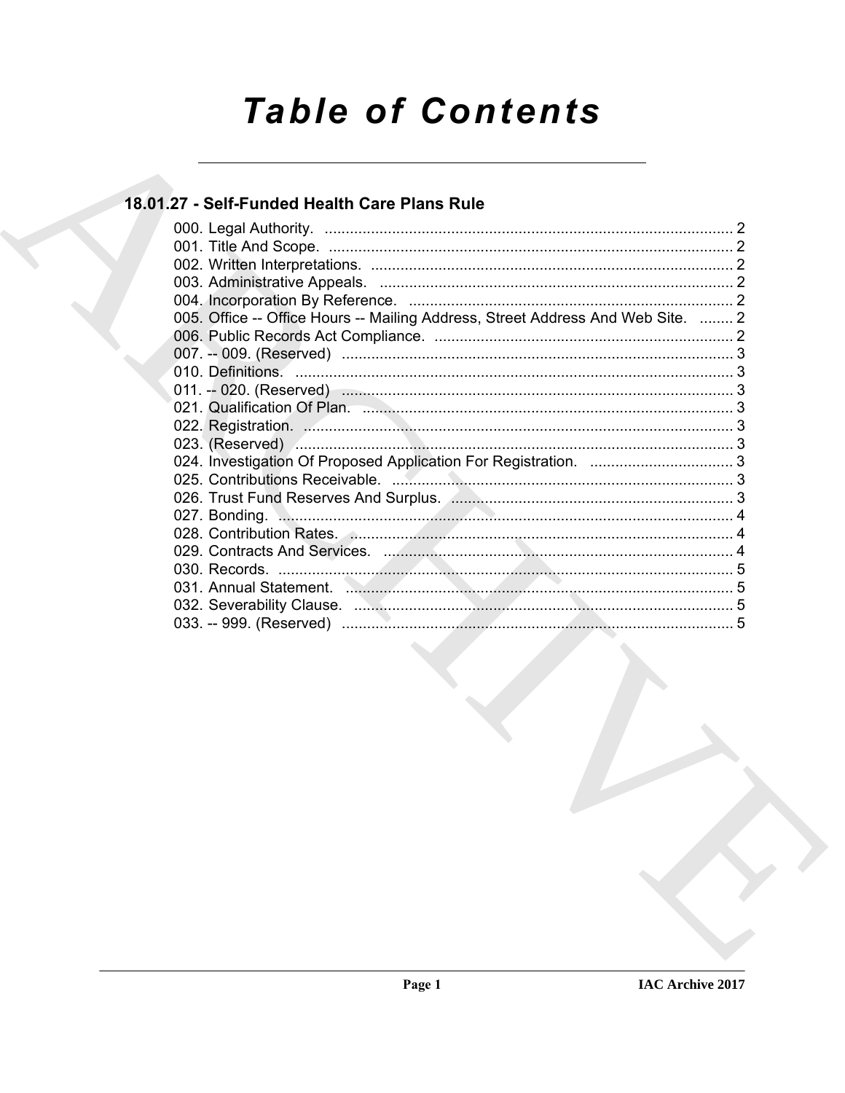# **Table of Contents**

# 18.01.27 - Self-Funded Health Care Plans Rule

| 005. Office -- Office Hours -- Mailing Address, Street Address And Web Site.  2 |  |
|---------------------------------------------------------------------------------|--|
|                                                                                 |  |
|                                                                                 |  |
|                                                                                 |  |
|                                                                                 |  |
|                                                                                 |  |
|                                                                                 |  |
|                                                                                 |  |
|                                                                                 |  |
|                                                                                 |  |
|                                                                                 |  |
|                                                                                 |  |
|                                                                                 |  |
|                                                                                 |  |
|                                                                                 |  |
|                                                                                 |  |
|                                                                                 |  |
|                                                                                 |  |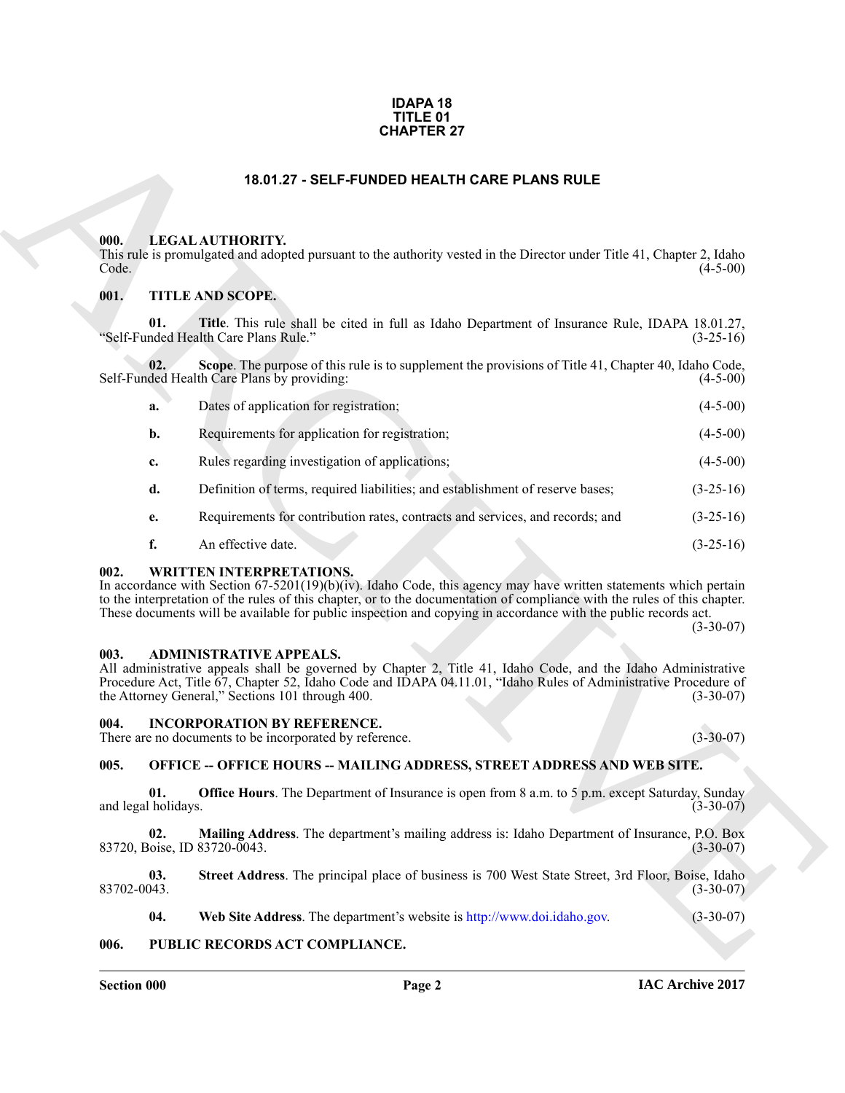#### **IDAPA 18 TITLE 01 CHAPTER 27**

#### **18.01.27 - SELF-FUNDED HEALTH CARE PLANS RULE**

#### <span id="page-1-1"></span><span id="page-1-0"></span>**000. LEGAL AUTHORITY.**

#### <span id="page-1-2"></span>**001. TITLE AND SCOPE.**

|                     | <b>CHAPTER 27</b>                                                                                                                                                                                                                                                                                                                                                                                  |             |
|---------------------|----------------------------------------------------------------------------------------------------------------------------------------------------------------------------------------------------------------------------------------------------------------------------------------------------------------------------------------------------------------------------------------------------|-------------|
|                     | 18.01.27 - SELF-FUNDED HEALTH CARE PLANS RULE                                                                                                                                                                                                                                                                                                                                                      |             |
| 000.<br>Code.       | LEGAL AUTHORITY.<br>This rule is promulgated and adopted pursuant to the authority vested in the Director under Title 41, Chapter 2, Idaho                                                                                                                                                                                                                                                         | $(4-5-00)$  |
| 001.                | TITLE AND SCOPE.                                                                                                                                                                                                                                                                                                                                                                                   |             |
|                     | Title. This rule shall be cited in full as Idaho Department of Insurance Rule, IDAPA 18.01.27,<br>01.<br>"Self-Funded Health Care Plans Rule."                                                                                                                                                                                                                                                     | $(3-25-16)$ |
|                     | Scope. The purpose of this rule is to supplement the provisions of Title 41, Chapter 40, Idaho Code,<br>02.<br>Self-Funded Health Care Plans by providing:                                                                                                                                                                                                                                         | $(4-5-00)$  |
| a.                  | Dates of application for registration;                                                                                                                                                                                                                                                                                                                                                             | $(4-5-00)$  |
| b.                  | Requirements for application for registration;                                                                                                                                                                                                                                                                                                                                                     | $(4-5-00)$  |
| c.                  | Rules regarding investigation of applications;                                                                                                                                                                                                                                                                                                                                                     | $(4-5-00)$  |
| d.                  | Definition of terms, required liabilities; and establishment of reserve bases;                                                                                                                                                                                                                                                                                                                     | $(3-25-16)$ |
| e.                  | Requirements for contribution rates, contracts and services, and records; and                                                                                                                                                                                                                                                                                                                      | $(3-25-16)$ |
| f.                  | An effective date.                                                                                                                                                                                                                                                                                                                                                                                 | $(3-25-16)$ |
| 002.                | <b>WRITTEN INTERPRETATIONS.</b><br>In accordance with Section 67-5201(19)(b)(iv). Idaho Code, this agency may have written statements which pertain<br>to the interpretation of the rules of this chapter, or to the documentation of compliance with the rules of this chapter.<br>These documents will be available for public inspection and copying in accordance with the public records act. | $(3-30-07)$ |
| 003.                | <b>ADMINISTRATIVE APPEALS.</b><br>All administrative appeals shall be governed by Chapter 2, Title 41, Idaho Code, and the Idaho Administrative<br>Procedure Act, Title 67, Chapter 52, Idaho Code and IDAPA 04.11.01, "Idaho Rules of Administrative Procedure of<br>the Attorney General," Sections 101 through 400.                                                                             | $(3-30-07)$ |
| 004.                | <b>INCORPORATION BY REFERENCE.</b><br>There are no documents to be incorporated by reference.                                                                                                                                                                                                                                                                                                      | $(3-30-07)$ |
| 005.                | <b>OFFICE -- OFFICE HOURS -- MAILING ADDRESS, STREET ADDRESS AND WEB SITE.</b>                                                                                                                                                                                                                                                                                                                     |             |
| and legal holidays. | Office Hours. The Department of Insurance is open from 8 a.m. to 5 p.m. except Saturday, Sunday<br>01.                                                                                                                                                                                                                                                                                             | $(3-30-07)$ |
|                     | 02.<br>Mailing Address. The department's mailing address is: Idaho Department of Insurance, P.O. Box<br>83720, Boise, ID 83720-0043.                                                                                                                                                                                                                                                               | $(3-30-07)$ |
| 83702-0043.         | Street Address. The principal place of business is 700 West State Street, 3rd Floor, Boise, Idaho<br>03.                                                                                                                                                                                                                                                                                           | $(3-30-07)$ |
|                     | Web Site Address. The department's website is http://www.doi.idaho.gov.<br>04.                                                                                                                                                                                                                                                                                                                     | $(3-30-07)$ |
| 006.                | PUBLIC RECORDS ACT COMPLIANCE.                                                                                                                                                                                                                                                                                                                                                                     |             |

#### <span id="page-1-3"></span>**002. WRITTEN INTERPRETATIONS.**

#### <span id="page-1-4"></span>**003. ADMINISTRATIVE APPEALS.**

#### <span id="page-1-5"></span>**004. INCORPORATION BY REFERENCE.**

#### <span id="page-1-6"></span>**005. OFFICE -- OFFICE HOURS -- MAILING ADDRESS, STREET ADDRESS AND WEB SITE.**

#### <span id="page-1-7"></span>**006. PUBLIC RECORDS ACT COMPLIANCE.**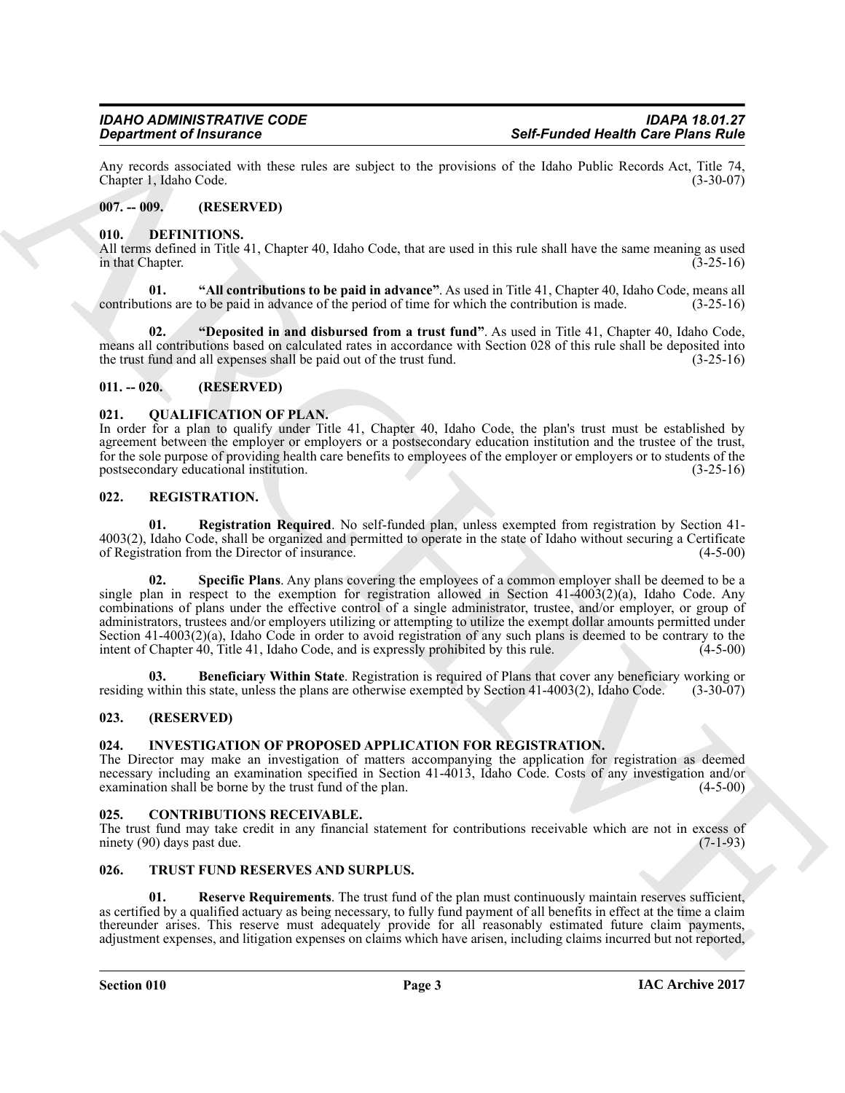Any records associated with these rules are subject to the provisions of the Idaho Public Records Act, Title 74,<br>Chapter 1. Idaho Code. (3-30-07) Chapter 1, Idaho Code.

#### <span id="page-2-0"></span>**007. -- 009. (RESERVED)**

#### <span id="page-2-10"></span><span id="page-2-1"></span>**010. DEFINITIONS.**

All terms defined in Title 41, Chapter 40, Idaho Code, that are used in this rule shall have the same meaning as used<br>(3-25-16) in that Chapter.

<span id="page-2-11"></span>**01. "All contributions to be paid in advance"**. As used in Title 41, Chapter 40, Idaho Code, means all contributions are to be paid in advance of the period of time for which the contribution is made. (3-25-16)

<span id="page-2-12"></span>**02. "Deposited in and disbursed from a trust fund"**. As used in Title 41, Chapter 40, Idaho Code, means all contributions based on calculated rates in accordance with Section 028 of this rule shall be deposited into the trust fund and all expenses shall be paid out of the trust fund. (3-25-16)

#### <span id="page-2-2"></span>**011. -- 020. (RESERVED)**

#### <span id="page-2-14"></span><span id="page-2-3"></span>**021. QUALIFICATION OF PLAN.**

In order for a plan to qualify under Title 41, Chapter 40, Idaho Code, the plan's trust must be established by agreement between the employer or employers or a postsecondary education institution and the trustee of the trust, for the sole purpose of providing health care benefits to employees of the employer or employers or to students of the postsecondary educational institution. (3-25-16) postsecondary educational institution.

#### <span id="page-2-15"></span><span id="page-2-4"></span>**022. REGISTRATION.**

<span id="page-2-18"></span><span id="page-2-17"></span>**01. Registration Required**. No self-funded plan, unless exempted from registration by Section 41- 4003(2), Idaho Code, shall be organized and permitted to operate in the state of Idaho without securing a Certificate of Registration from the Director of insurance.

**Solid Franchise of Franchise Section 16 and the section of the field of the Revision China Revise Contains (1998)<br>
Am cosult possible that the section and the section of the section of the heliotechemical state of the se Specific Plans**. Any plans covering the employees of a common employer shall be deemed to be a single plan in respect to the exemption for registration allowed in Section 41-4003(2)(a), Idaho Code. Any combinations of plans under the effective control of a single administrator, trustee, and/or employer, or group of administrators, trustees and/or employers utilizing or attempting to utilize the exempt dollar amounts permitted under Section 41-4003(2)(a), Idaho Code in order to avoid registration of any such plans is deemed to be contrary to the intent of Chapter 40, Title 41, Idaho Code, and is expressly prohibited by this rule.  $(4-5-00)$ intent of Chapter 40, Title 41, Idaho Code, and is expressly prohibited by this rule.

<span id="page-2-16"></span>**03. Beneficiary Within State**. Registration is required of Plans that cover any beneficiary working or residing within this state, unless the plans are otherwise exempted by Section 41-4003(2), Idaho Code. (3-30-07)

#### <span id="page-2-5"></span>**023. (RESERVED)**

#### <span id="page-2-13"></span><span id="page-2-6"></span>**024. INVESTIGATION OF PROPOSED APPLICATION FOR REGISTRATION.**

The Director may make an investigation of matters accompanying the application for registration as deemed necessary including an examination specified in Section 41-4013, Idaho Code. Costs of any investigation and/or examination shall be borne by the trust fund of the plan. (4-5-00) examination shall be borne by the trust fund of the plan.

#### <span id="page-2-9"></span><span id="page-2-7"></span>**025. CONTRIBUTIONS RECEIVABLE.**

The trust fund may take credit in any financial statement for contributions receivable which are not in excess of ninety (90) days past due.  $(7-1-93)$ ninety  $(90)$  days past due.

#### <span id="page-2-19"></span><span id="page-2-8"></span>**026. TRUST FUND RESERVES AND SURPLUS.**

<span id="page-2-20"></span>**01. Reserve Requirements**. The trust fund of the plan must continuously maintain reserves sufficient, as certified by a qualified actuary as being necessary, to fully fund payment of all benefits in effect at the time a claim thereunder arises. This reserve must adequately provide for all reasonably estimated future claim payments, adjustment expenses, and litigation expenses on claims which have arisen, including claims incurred but not reported,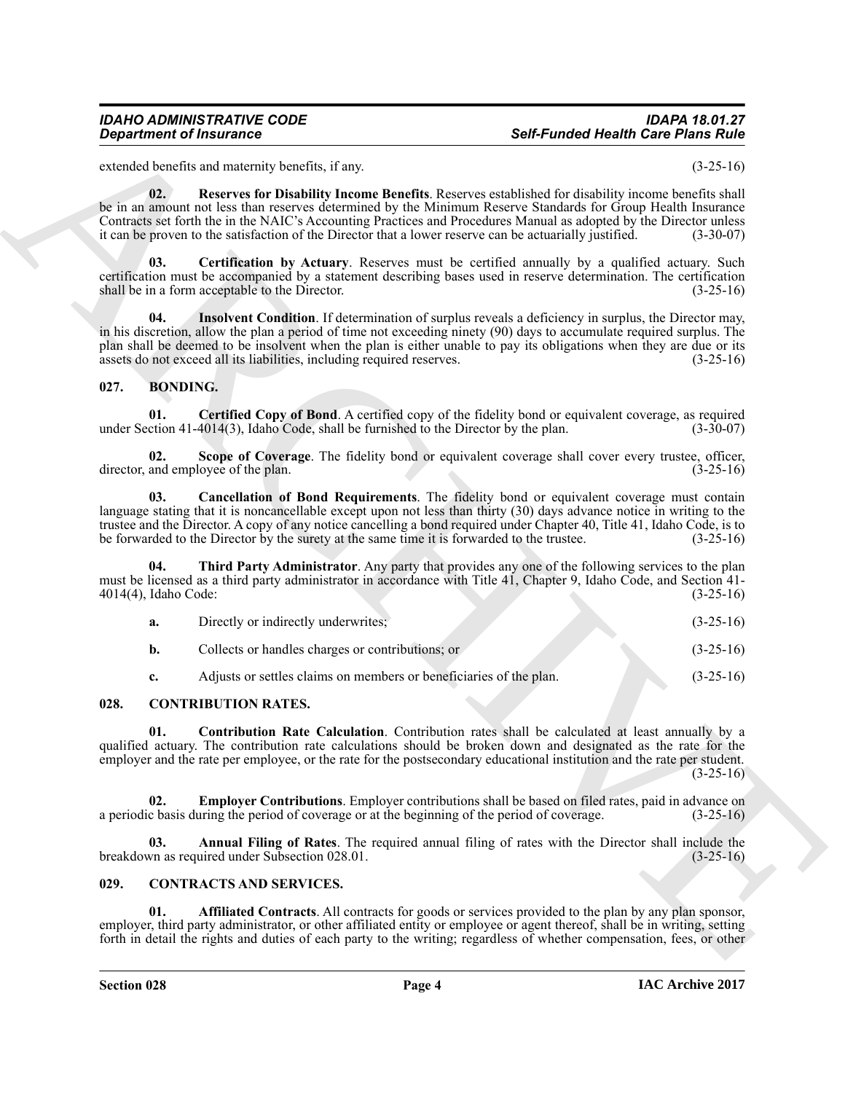#### <span id="page-3-16"></span><span id="page-3-14"></span>*IDAHO ADMINISTRATIVE CODE IDAPA 18.01.27* **Self-Funded Health Care Plans Rule**

#### <span id="page-3-15"></span><span id="page-3-6"></span><span id="page-3-5"></span><span id="page-3-4"></span><span id="page-3-3"></span><span id="page-3-0"></span>**027. BONDING.**

| <b>Department of Insurance</b> |                                                                                                                                                                                                                                                                                                                                                                                                                                                      | <b>Self-Funded Health Care Plans Rule</b> |             |
|--------------------------------|------------------------------------------------------------------------------------------------------------------------------------------------------------------------------------------------------------------------------------------------------------------------------------------------------------------------------------------------------------------------------------------------------------------------------------------------------|-------------------------------------------|-------------|
|                                | extended benefits and maternity benefits, if any.                                                                                                                                                                                                                                                                                                                                                                                                    |                                           | $(3-25-16)$ |
| 02.                            | Reserves for Disability Income Benefits. Reserves established for disability income benefits shall<br>be in an amount not less than reserves determined by the Minimum Reserve Standards for Group Health Insurance<br>Contracts set forth the in the NAIC's Accounting Practices and Procedures Manual as adopted by the Director unless<br>it can be proven to the satisfaction of the Director that a lower reserve can be actuarially justified. |                                           | $(3-30-07)$ |
| 03.                            | Certification by Actuary. Reserves must be certified annually by a qualified actuary. Such<br>certification must be accompanied by a statement describing bases used in reserve determination. The certification<br>shall be in a form acceptable to the Director.                                                                                                                                                                                   |                                           | $(3-25-16)$ |
| 04.                            | <b>Insolvent Condition</b> . If determination of surplus reveals a deficiency in surplus, the Director may,<br>in his discretion, allow the plan a period of time not exceeding ninety (90) days to accumulate required surplus. The<br>plan shall be deemed to be insolvent when the plan is either unable to pay its obligations when they are due or its<br>assets do not exceed all its liabilities, including required reserves.                |                                           | $(3-25-16)$ |
| 027.<br><b>BONDING.</b>        |                                                                                                                                                                                                                                                                                                                                                                                                                                                      |                                           |             |
| 01.                            | Certified Copy of Bond. A certified copy of the fidelity bond or equivalent coverage, as required<br>under Section 41-4014(3), Idaho Code, shall be furnished to the Director by the plan.                                                                                                                                                                                                                                                           |                                           | $(3-30-07)$ |
| 02.                            | Scope of Coverage. The fidelity bond or equivalent coverage shall cover every trustee, officer,<br>director, and employee of the plan.                                                                                                                                                                                                                                                                                                               |                                           | $(3-25-16)$ |
| 03.                            | Cancellation of Bond Requirements. The fidelity bond or equivalent coverage must contain<br>language stating that it is noncancellable except upon not less than thirty (30) days advance notice in writing to the<br>trustee and the Director. A copy of any notice cancelling a bond required under Chapter 40, Title 41, Idaho Code, is to<br>be forwarded to the Director by the surety at the same time it is forwarded to the trustee.         |                                           | $(3-25-16)$ |
| 04.<br>4014(4), Idaho Code:    | Third Party Administrator. Any party that provides any one of the following services to the plan<br>must be licensed as a third party administrator in accordance with Title 41, Chapter 9, Idaho Code, and Section 41-                                                                                                                                                                                                                              |                                           | $(3-25-16)$ |
| a.                             | Directly or indirectly underwrites;                                                                                                                                                                                                                                                                                                                                                                                                                  |                                           | $(3-25-16)$ |
| $\mathbf{b}$ .                 | Collects or handles charges or contributions; or                                                                                                                                                                                                                                                                                                                                                                                                     |                                           | $(3-25-16)$ |
| c.                             | Adjusts or settles claims on members or beneficiaries of the plan.                                                                                                                                                                                                                                                                                                                                                                                   |                                           | $(3-25-16)$ |
| 028.                           | <b>CONTRIBUTION RATES.</b>                                                                                                                                                                                                                                                                                                                                                                                                                           |                                           |             |
| 01.                            | <b>Contribution Rate Calculation.</b> Contribution rates shall be calculated at least annually by a<br>qualified actuary. The contribution rate calculations should be broken down and designated as the rate for the<br>employer and the rate per employee, or the rate for the postsecondary educational institution and the rate per student.                                                                                                     |                                           | $(3-25-16)$ |
| 02.                            | <b>Employer Contributions</b> . Employer contributions shall be based on filed rates, paid in advance on<br>a periodic basis during the period of coverage or at the beginning of the period of coverage.                                                                                                                                                                                                                                            |                                           | $(3-25-16)$ |
| 03.                            | Annual Filing of Rates. The required annual filing of rates with the Director shall include the<br>breakdown as required under Subsection 028.01.                                                                                                                                                                                                                                                                                                    |                                           | $(3-25-16)$ |
| 029.                           | <b>CONTRACTS AND SERVICES.</b>                                                                                                                                                                                                                                                                                                                                                                                                                       |                                           |             |
| 01.                            | Affiliated Contracts. All contracts for goods or services provided to the plan by any plan sponsor,<br>employer, third party administrator, or other affiliated entity or employee or agent thereof, shall be in writing, setting                                                                                                                                                                                                                    |                                           |             |

#### <span id="page-3-13"></span><span id="page-3-12"></span><span id="page-3-10"></span><span id="page-3-7"></span><span id="page-3-1"></span>**028. CONTRIBUTION RATES.**

#### <span id="page-3-11"></span><span id="page-3-9"></span><span id="page-3-8"></span><span id="page-3-2"></span>**029. CONTRACTS AND SERVICES.**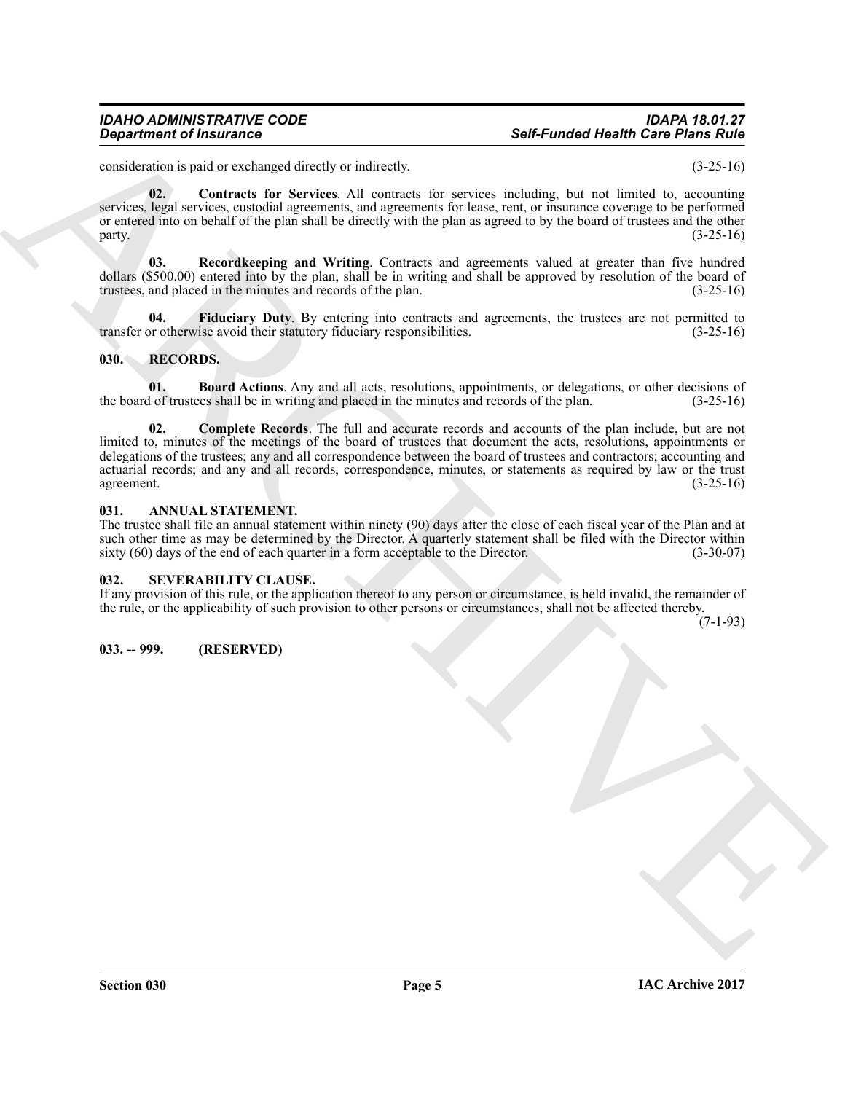#### *IDAHO ADMINISTRATIVE CODE IDAPA 18.01.27* **Self-Funded Health Care Plans Rule**

consideration is paid or exchanged directly or indirectly. (3-25-16)

<span id="page-4-5"></span>**02. Contracts for Services**. All contracts for services including, but not limited to, accounting services, legal services, custodial agreements, and agreements for lease, rent, or insurance coverage to be performed or entered into on behalf of the plan shall be directly with the plan as agreed to by the board of trustees and the other  $\mu$  party.  $(3-25-16)$ 

<span id="page-4-7"></span>**03. Recordkeeping and Writing**. Contracts and agreements valued at greater than five hundred dollars (\$500.00) entered into by the plan, shall be in writing and shall be approved by resolution of the board of trustees, and placed in the minutes and records of the plan. (3-25-16)

<span id="page-4-6"></span>**Fiduciary Duty**. By entering into contracts and agreements, the trustees are not permitted to ise avoid their statutory fiduciary responsibilities. (3-25-16) transfer or otherwise avoid their statutory fiduciary responsibilities.

#### <span id="page-4-8"></span><span id="page-4-0"></span>**030. RECORDS.**

<span id="page-4-10"></span><span id="page-4-9"></span>**01. Board Actions**. Any and all acts, resolutions, appointments, or delegations, or other decisions of of trustees shall be in writing and placed in the minutes and records of the plan. (3-25-16) the board of trustees shall be in writing and placed in the minutes and records of the plan.

**Consideration of Francesco Constraints Constraints and the system of the system of the system of the system of the system of the system of the system of the system of the system of the system of the system of the system 02. Complete Records**. The full and accurate records and accounts of the plan include, but are not limited to, minutes of the meetings of the board of trustees that document the acts, resolutions, appointments or delegations of the trustees; any and all correspondence between the board of trustees and contractors; accounting and actuarial records; and any and all records, correspondence, minutes, or statements as required by law or the trust agreement. (3-25-16) agreement.  $(3-25-16)$ 

#### <span id="page-4-4"></span><span id="page-4-1"></span>**031. ANNUAL STATEMENT.**

The trustee shall file an annual statement within ninety (90) days after the close of each fiscal year of the Plan and at such other time as may be determined by the Director. A quarterly statement shall be filed with the Director within sixty (60) days of the end of each quarter in a form acceptable to the Director. (3-30-07) sixty  $(60)$  days of the end of each quarter in a form acceptable to the Director.

#### <span id="page-4-11"></span><span id="page-4-2"></span>**032. SEVERABILITY CLAUSE.**

If any provision of this rule, or the application thereof to any person or circumstance, is held invalid, the remainder of the rule, or the applicability of such provision to other persons or circumstances, shall not be affected thereby.

 $(7-1-93)$ 

#### <span id="page-4-3"></span>**033. -- 999. (RESERVED)**